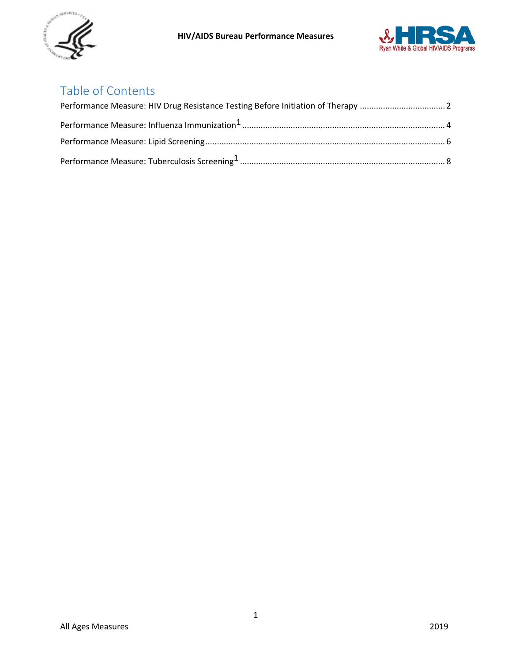



# Table of Contents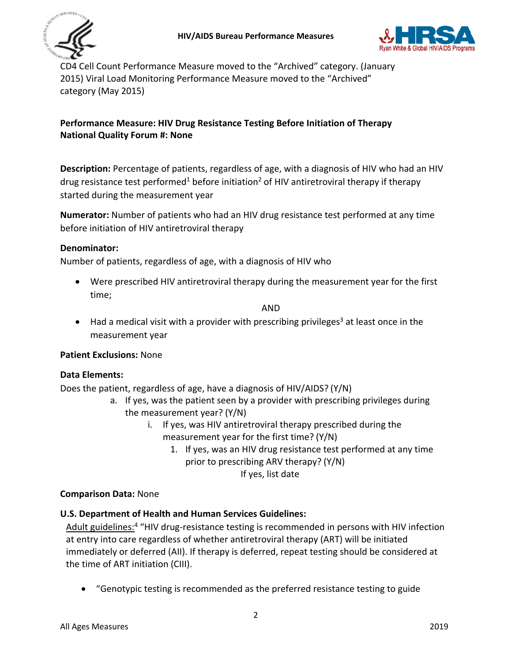



CD4 Cell Count Performance Measure moved to the "Archived" category. (January 2015) Viral Load Monitoring Performance Measure moved to the "Archived" category (May 2015)

## <span id="page-1-0"></span>**Performance Measure: HIV Drug Resistance Testing Before Initiation of Therapy National Quality Forum #: None**

**Description:** Percentage of patients, regardless of age, with a diagnosis of HIV who had an HIV drug resistance test performed<sup>1</sup> before initiation<sup>2</sup> of HIV antiretroviral therapy if therapy started during the measurement year

**Numerator:** Number of patients who had an HIV drug resistance test performed at any time before initiation of HIV antiretroviral therapy

#### **Denominator:**

Number of patients, regardless of age, with a diagnosis of HIV who

• Were prescribed HIV antiretroviral therapy during the measurement year for the first time;

AND

• Had a medical visit with a provider with prescribing privileges<sup>3</sup> at least once in the measurement year

#### **Patient Exclusions:** None

#### **Data Elements:**

Does the patient, regardless of age, have a diagnosis of HIV/AIDS? (Y/N)

- a. If yes, was the patient seen by a provider with prescribing privileges during the measurement year? (Y/N)
	- i. If yes, was HIV antiretroviral therapy prescribed during the measurement year for the first time? (Y/N)
		- 1. If yes, was an HIV drug resistance test performed at any time prior to prescribing ARV therapy? (Y/N) If yes, list date

#### **Comparison Data:** None

## **U.S. Department of Health and Human Services Guidelines:**

Adult guidelines:<sup>4</sup> "HIV drug-resistance testing is recommended in persons with HIV infection at entry into care regardless of whether antiretroviral therapy (ART) will be initiated immediately or deferred (AII). If therapy is deferred, repeat testing should be considered at the time of ART initiation (CIII).

• "Genotypic testing is recommended as the preferred resistance testing to guide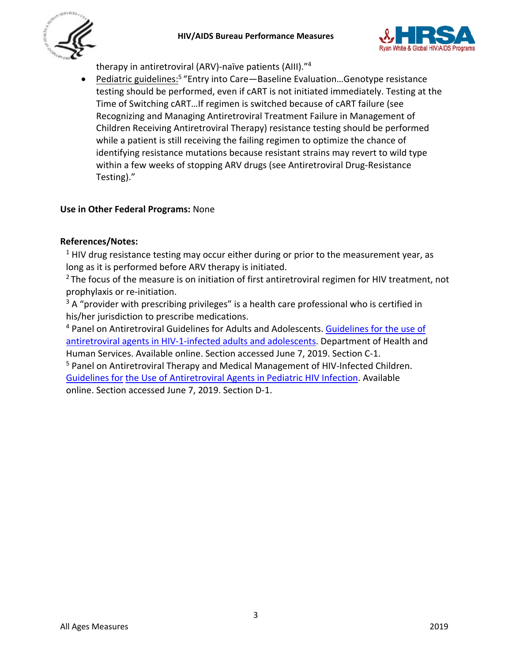



therapy in antiretroviral (ARV)-naïve patients (AIII)."4

Pediatric guidelines:<sup>5</sup> "Entry into Care-Baseline Evaluation...Genotype resistance testing should be performed, even if cART is not initiated immediately. Testing at the Time of Switching cART…If regimen is switched because of cART failure (see Recognizing and Managing Antiretroviral Treatment Failure in Management of Children Receiving Antiretroviral Therapy) resistance testing should be performed while a patient is still receiving the failing regimen to optimize the chance of identifying resistance mutations because resistant strains may revert to wild type within a few weeks of stopping ARV drugs (see Antiretroviral Drug-Resistance Testing)."

## **Use in Other Federal Programs:** None

## **References/Notes:**

 $<sup>1</sup>$  HIV drug resistance testing may occur either during or prior to the measurement year, as</sup> long as it is performed before ARV therapy is initiated.

<sup>2</sup> The focus of the measure is on initiation of first antiretroviral regimen for HIV treatment, not prophylaxis or re-initiation.

 $3A$  "provider with prescribing privileges" is a health care professional who is certified in his/her jurisdiction to prescribe medications.

<sup>4</sup> Panel on Antiretroviral Guidelines for Adults and Adolescents. [Guidelines for the use of](https://aidsinfo.nih.gov/contentfiles/lvguidelines/adultandadolescentgl.pdf) [antiretroviral agents in HIV-1-infected adults and adolescents.](https://aidsinfo.nih.gov/contentfiles/lvguidelines/adultandadolescentgl.pdf) Department of Health and Human Services. Available online. Section accessed June 7, 2019. Section C-1.

<sup>5</sup> Panel on Antiretroviral Therapy and Medical Management of HIV-Infected Children. [Guidelines for](http://aidsinfo.nih.gov/contentfiles/lvguidelines/pediatricguidelines.pdf) [the Use of Antiretroviral Agents in Pediatric HIV Infection.](http://aidsinfo.nih.gov/contentfiles/lvguidelines/pediatricguidelines.pdf) Available online. Section accessed June 7, 2019. Section D-1.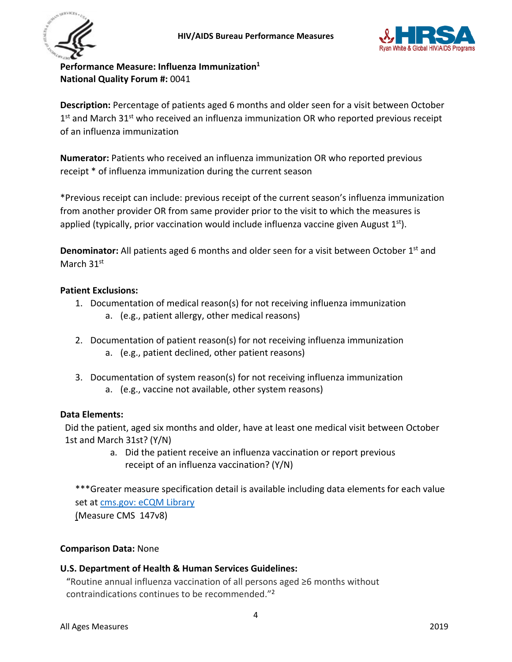



<span id="page-3-0"></span>**Performance Measure: Influenza Immunization1 National Quality Forum #:** 0041

**Description:** Percentage of patients aged 6 months and older seen for a visit between October 1<sup>st</sup> and March 31<sup>st</sup> who received an influenza immunization OR who reported previous receipt of an influenza immunization

**Numerator:** Patients who received an influenza immunization OR who reported previous receipt \* of influenza immunization during the current season

\*Previous receipt can include: previous receipt of the current season's influenza immunization from another provider OR from same provider prior to the visit to which the measures is applied (typically, prior vaccination would include influenza vaccine given August  $1^{st}$ ).

**Denominator:** All patients aged 6 months and older seen for a visit between October 1<sup>st</sup> and March 31<sup>st</sup>

## **Patient Exclusions:**

- 1. Documentation of medical reason(s) for not receiving influenza immunization
	- a. (e.g., patient allergy, other medical reasons)
- 2. Documentation of patient reason(s) for not receiving influenza immunization
	- a. (e.g., patient declined, other patient reasons)
- 3. Documentation of system reason(s) for not receiving influenza immunization
	- a. (e.g., vaccine not available, other system reasons)

## **Data Elements:**

Did the patient, aged six months and older, have at least one medical visit between October 1st and March 31st? (Y/N)

> a. Did the patient receive an influenza vaccination or report previous receipt of an influenza vaccination? (Y/N)

\*\*\*Greater measure specification detail is available including data elements for each value set at [cms.gov: eCQM Library](https://www.cms.gov/regulations-and-guidance/legislation/ehrincentiveprograms/ecqm_library.html) 

(Measure CMS 147v8)

## **Comparison Data:** None

## **U.S. Department of Health & Human Services Guidelines:**

"Routine annual influenza vaccination of all persons aged ≥6 months without contraindications continues to be recommended."2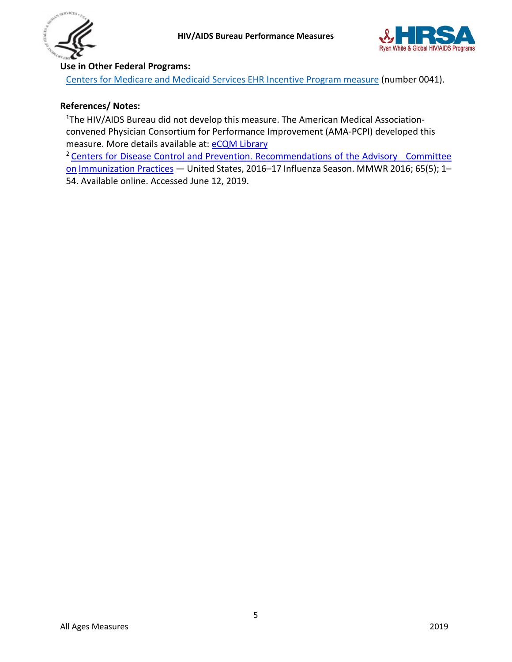



## **Use in Other Federal Programs:**

[Centers for Medicare and Medicaid Services EHR Incentive Program measure](https://ecqi.healthit.gov/ecqm/ep/2019/cms147v8) (number 0041).

## **References/ Notes:**

<sup>1</sup>The HIV/AIDS Bureau did not develop this measure. The American Medical Associationconvened Physician Consortium for Performance Improvement (AMA-PCPI) developed this measure. More details available at: [eCQM Library](https://www.cms.gov/regulations-and-guidance/legislation/ehrincentiveprograms/ecqm_library.html)

<sup>2</sup> Centers for Disease Control and Prevention. Recommendations of the Advisory Committee [on](http://www.cdc.gov/mmwr/PDF/rr/rr5606.pdf) [Immunization Practices](http://www.cdc.gov/mmwr/PDF/rr/rr5606.pdf) — United States, 2016-17 Influenza Season. MMWR 2016; 65(5); 1-54. Available online. Accessed June 12, 2019.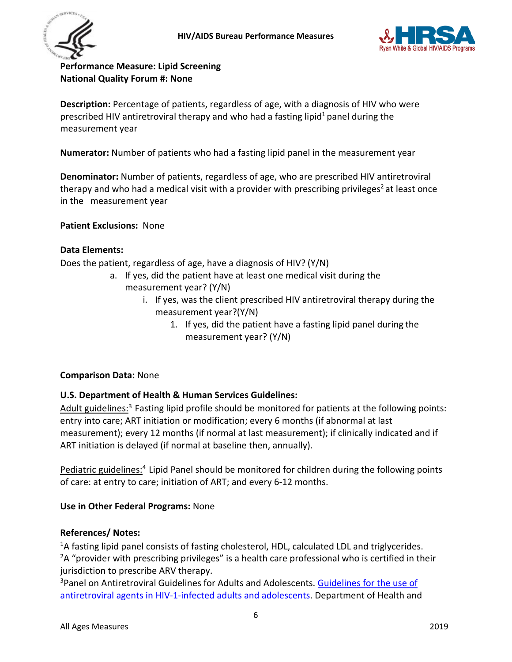



<span id="page-5-0"></span>**Performance Measure: Lipid Screening National Quality Forum #: None**

**Description:** Percentage of patients, regardless of age, with a diagnosis of HIV who were prescribed HIV antiretroviral therapy and who had a fasting lipid<sup>1</sup> panel during the measurement year

**Numerator:** Number of patients who had a fasting lipid panel in the measurement year

**Denominator:** Number of patients, regardless of age, who are prescribed HIV antiretroviral therapy and who had a medical visit with a provider with prescribing privileges<sup>2</sup> at least once in the measurement year

**Patient Exclusions:** None

#### **Data Elements:**

Does the patient, regardless of age, have a diagnosis of HIV? (Y/N)

- a. If yes, did the patient have at least one medical visit during the measurement year? (Y/N)
	- i. If yes, was the client prescribed HIV antiretroviral therapy during the measurement year?(Y/N)
		- 1. If yes, did the patient have a fasting lipid panel during the measurement year? (Y/N)

#### **Comparison Data:** None

## **U.S. Department of Health & Human Services Guidelines:**

Adult guidelines:<sup>3</sup> Fasting lipid profile should be monitored for patients at the following points: entry into care; ART initiation or modification; every 6 months (if abnormal at last measurement); every 12 months (if normal at last measurement); if clinically indicated and if ART initiation is delayed (if normal at baseline then, annually).

Pediatric guidelines:<sup>4</sup> Lipid Panel should be monitored for children during the following points of care: at entry to care; initiation of ART; and every 6-12 months.

#### **Use in Other Federal Programs:** None

#### **References/ Notes:**

<sup>1</sup>A fasting lipid panel consists of fasting cholesterol, HDL, calculated LDL and triglycerides.  $2A$  "provider with prescribing privileges" is a health care professional who is certified in their jurisdiction to prescribe ARV therapy.

<sup>3</sup>Panel on Antiretroviral Guidelines for Adults and Adolescents. [Guidelines for the use of](https://aidsinfo.nih.gov/contentfiles/lvguidelines/adultandadolescentgl.pdf) [antiretroviral agents in HIV-1-infected adults and adolescents.](https://aidsinfo.nih.gov/contentfiles/lvguidelines/adultandadolescentgl.pdf) Department of Health and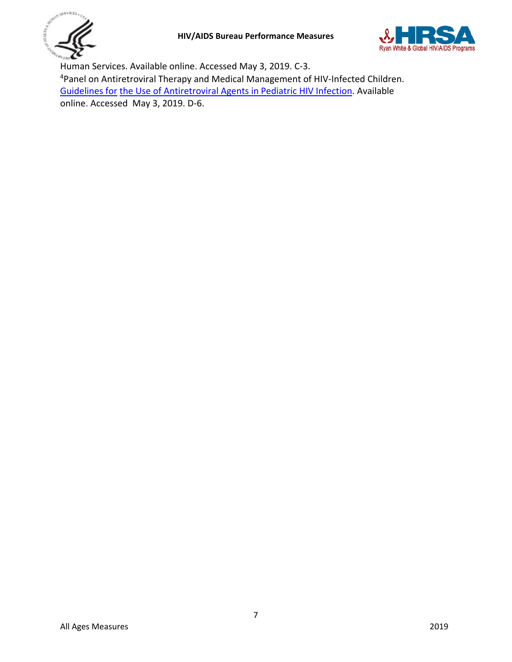



Human Services. Available online. Accessed May 3, 2019. C-3. 4Panel on Antiretroviral Therapy and Medical Management of HIV-Infected Children. [Guidelines for](https://aidsinfo.nih.gov/contentfiles/lvguidelines/pediatricguidelines.pdf) [the Use of Antiretroviral Agents in Pediatric HIV Infection.](https://aidsinfo.nih.gov/contentfiles/lvguidelines/pediatricguidelines.pdf) Available online. Accessed May 3, 2019. D-6.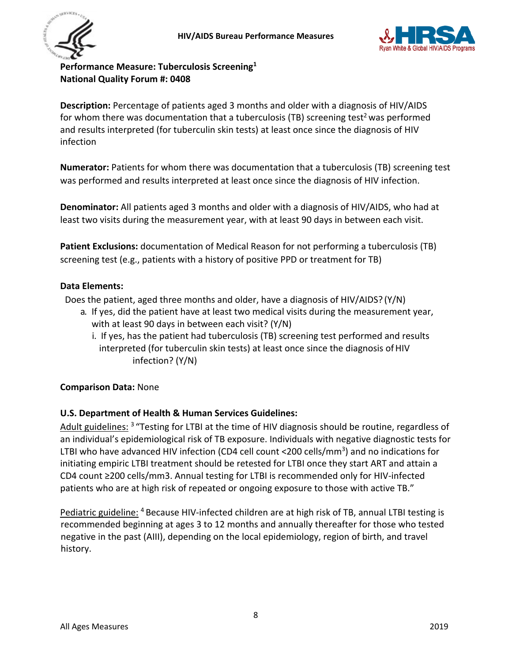



<span id="page-7-0"></span>**Performance Measure: Tuberculosis Screening1 National Quality Forum #: 0408**

**Description:** Percentage of patients aged 3 months and older with a diagnosis of HIV/AIDS for whom there was documentation that a tuberculosis (TB) screening test<sup>2</sup> was performed and results interpreted (for tuberculin skin tests) at least once since the diagnosis of HIV infection

**Numerator:** Patients for whom there was documentation that a tuberculosis (TB) screening test was performed and results interpreted at least once since the diagnosis of HIV infection.

**Denominator:** All patients aged 3 months and older with a diagnosis of HIV/AIDS, who had at least two visits during the measurement year, with at least 90 days in between each visit.

**Patient Exclusions:** documentation of Medical Reason for not performing a tuberculosis (TB) screening test (e.g., patients with a history of positive PPD or treatment for TB)

## **Data Elements:**

Does the patient, aged three months and older, have a diagnosis of HIV/AIDS? (Y/N)

- a. If yes, did the patient have at least two medical visits during the measurement year, with at least 90 days in between each visit? (Y/N)
	- i. If yes, has the patient had tuberculosis (TB) screening test performed and results interpreted (for tuberculin skin tests) at least once since the diagnosis ofHIV infection? (Y/N)

## **Comparison Data:** None

## **U.S. Department of Health & Human Services Guidelines:**

Adult guidelines: <sup>3</sup> "Testing for LTBI at the time of HIV diagnosis should be routine, regardless of an individual's epidemiological risk of TB exposure. Individuals with negative diagnostic tests for LTBI who have advanced HIV infection (CD4 cell count <200 cells/mm<sup>3</sup>) and no indications for initiating empiric LTBI treatment should be retested for LTBI once they start ART and attain a CD4 count ≥200 cells/mm3. Annual testing for LTBI is recommended only for HIV-infected patients who are at high risk of repeated or ongoing exposure to those with active TB."

Pediatric guideline: <sup>4</sup> Because HIV-infected children are at high risk of TB, annual LTBI testing is recommended beginning at ages 3 to 12 months and annually thereafter for those who tested negative in the past (AIII), depending on the local epidemiology, region of birth, and travel history.